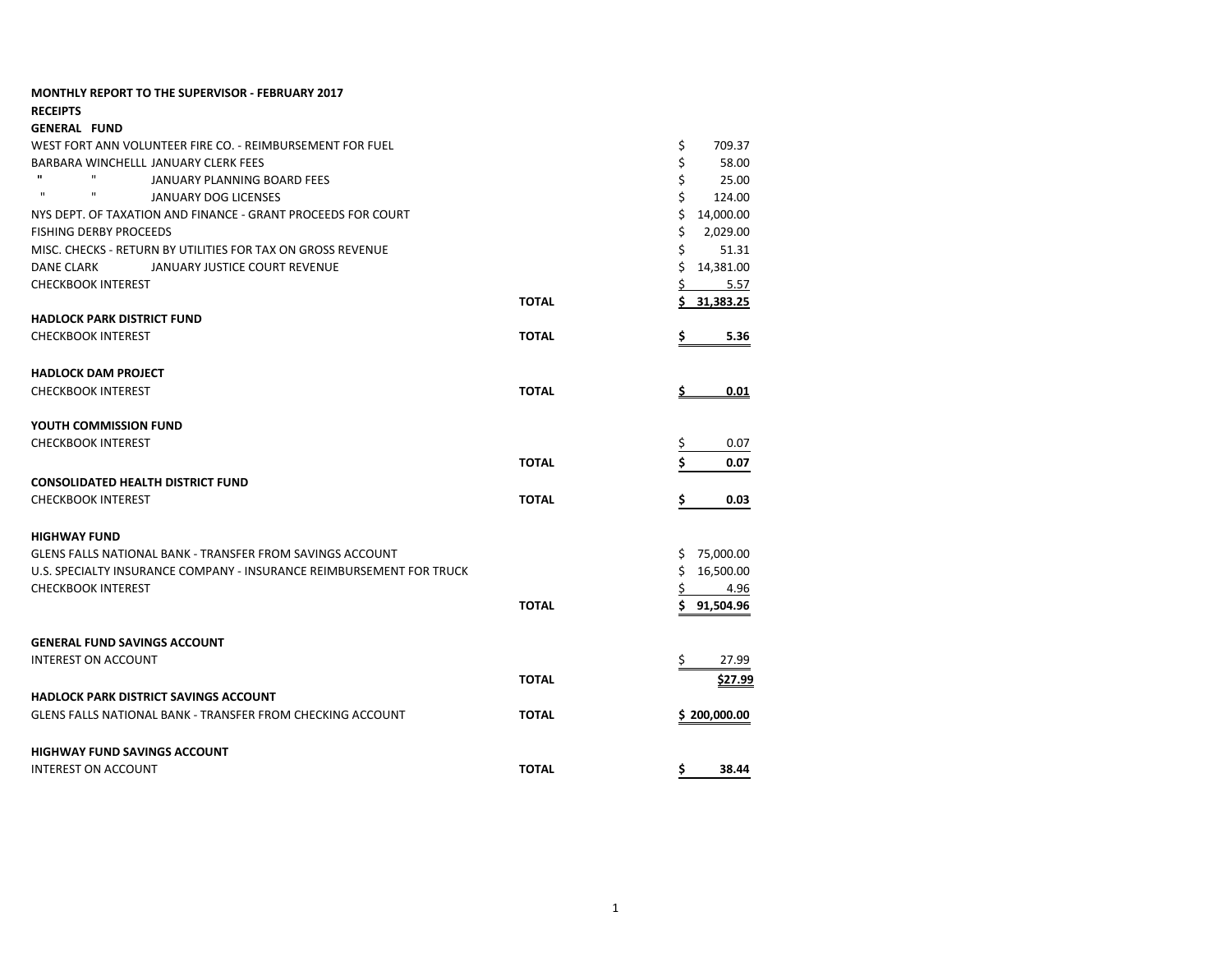| <b>MONTHLY REPORT TO THE SUPERVISOR - FEBRUARY 2017</b>              |              |                 |
|----------------------------------------------------------------------|--------------|-----------------|
| <b>RECEIPTS</b>                                                      |              |                 |
| <b>GENERAL FUND</b>                                                  |              |                 |
| WEST FORT ANN VOLUNTEER FIRE CO. - REIMBURSEMENT FOR FUEL            |              | \$<br>709.37    |
| BARBARA WINCHELLL JANUARY CLERK FEES                                 |              | \$<br>58.00     |
| $\mathbf{H}$<br>$\mathbf{u}$<br>JANUARY PLANNING BOARD FEES          |              | \$<br>25.00     |
| $\mathbf{u}$<br>$\mathbf{H}$<br>JANUARY DOG LICENSES                 |              | \$<br>124.00    |
| NYS DEPT. OF TAXATION AND FINANCE - GRANT PROCEEDS FOR COURT         |              | \$<br>14,000.00 |
| <b>FISHING DERBY PROCEEDS</b>                                        |              | \$<br>2,029.00  |
| MISC. CHECKS - RETURN BY UTILITIES FOR TAX ON GROSS REVENUE          |              | \$<br>51.31     |
| <b>DANE CLARK</b><br>JANUARY JUSTICE COURT REVENUE                   |              | \$<br>14,381.00 |
| <b>CHECKBOOK INTEREST</b>                                            |              | Ś.<br>5.57      |
|                                                                      | <b>TOTAL</b> | 31,383.25<br>Ś. |
| <b>HADLOCK PARK DISTRICT FUND</b>                                    |              |                 |
| <b>CHECKBOOK INTEREST</b>                                            | <b>TOTAL</b> | \$<br>5.36      |
| <b>HADLOCK DAM PROJECT</b>                                           |              |                 |
| <b>CHECKBOOK INTEREST</b>                                            | <b>TOTAL</b> | 0.01<br>\$      |
| YOUTH COMMISSION FUND                                                |              |                 |
| <b>CHECKBOOK INTEREST</b>                                            |              | 0.07<br>Ş       |
|                                                                      | <b>TOTAL</b> | \$<br>0.07      |
| <b>CONSOLIDATED HEALTH DISTRICT FUND</b>                             |              |                 |
| <b>CHECKBOOK INTEREST</b>                                            | <b>TOTAL</b> | 0.03<br>Ş       |
| <b>HIGHWAY FUND</b>                                                  |              |                 |
| <b>GLENS FALLS NATIONAL BANK - TRANSFER FROM SAVINGS ACCOUNT</b>     |              | 75,000.00<br>\$ |
| U.S. SPECIALTY INSURANCE COMPANY - INSURANCE REIMBURSEMENT FOR TRUCK |              | \$<br>16,500.00 |
| <b>CHECKBOOK INTEREST</b>                                            |              | \$<br>4.96      |
|                                                                      | <b>TOTAL</b> | Ś<br>91,504.96  |
| <b>GENERAL FUND SAVINGS ACCOUNT</b>                                  |              |                 |
| <b>INTEREST ON ACCOUNT</b>                                           |              | \$<br>27.99     |
|                                                                      | <b>TOTAL</b> | \$27.99         |
| <b>HADLOCK PARK DISTRICT SAVINGS ACCOUNT</b>                         |              |                 |
| GLENS FALLS NATIONAL BANK - TRANSFER FROM CHECKING ACCOUNT           | <b>TOTAL</b> | \$200,000.00    |
| <b>HIGHWAY FUND SAVINGS ACCOUNT</b>                                  |              |                 |
| <b>INTEREST ON ACCOUNT</b>                                           | <b>TOTAL</b> | \$<br>38.44     |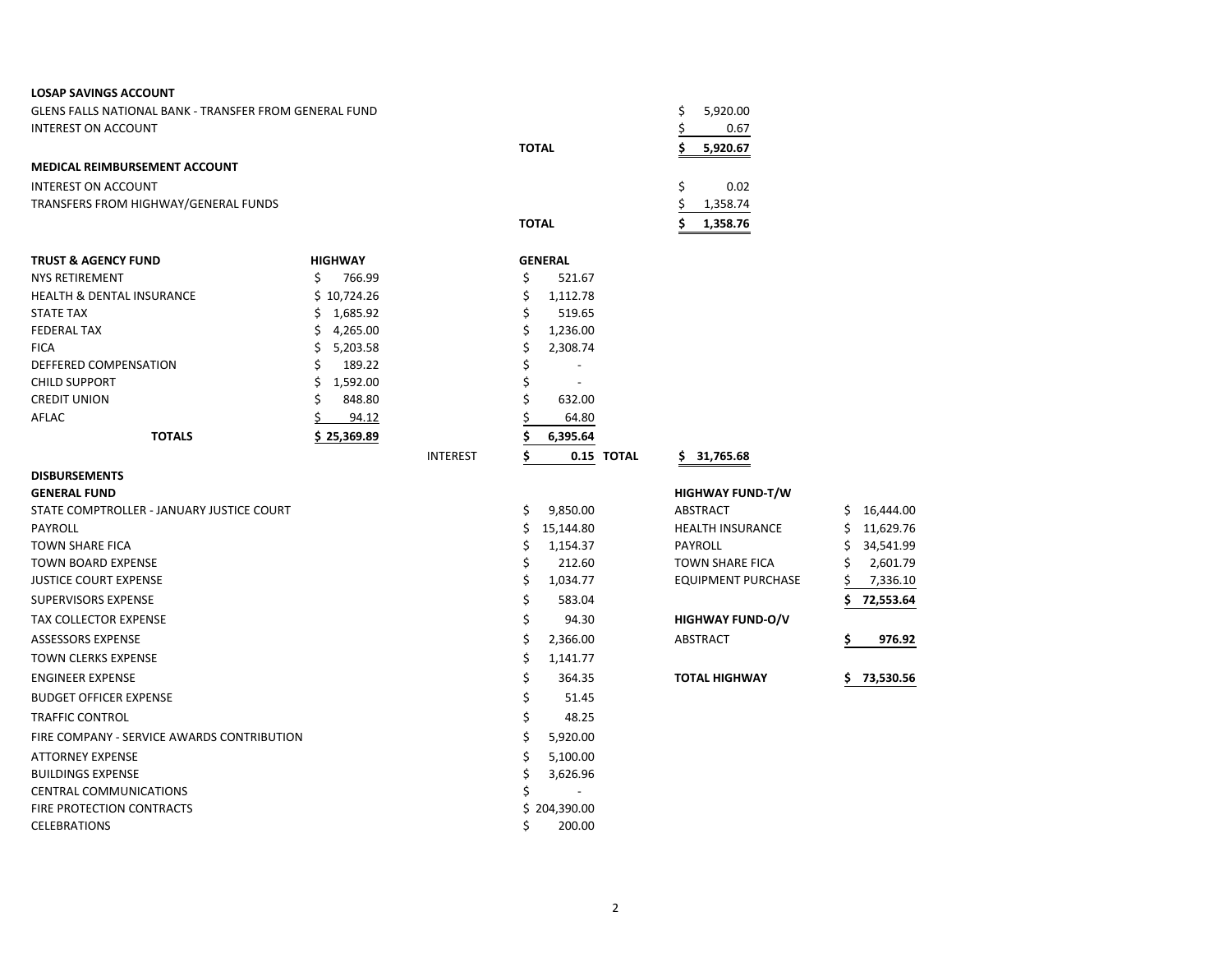| <b>LOSAP SAVINGS ACCOUNT</b>                           |                |                 |                                |                           |                  |
|--------------------------------------------------------|----------------|-----------------|--------------------------------|---------------------------|------------------|
| GLENS FALLS NATIONAL BANK - TRANSFER FROM GENERAL FUND |                |                 |                                | \$<br>5,920.00            |                  |
| <b>INTEREST ON ACCOUNT</b>                             |                |                 |                                | \$<br>0.67                |                  |
|                                                        |                |                 | <b>TOTAL</b>                   | Ś<br>5,920.67             |                  |
| MEDICAL REIMBURSEMENT ACCOUNT                          |                |                 |                                |                           |                  |
| INTEREST ON ACCOUNT                                    |                |                 |                                | \$<br>0.02                |                  |
| TRANSFERS FROM HIGHWAY/GENERAL FUNDS                   |                |                 |                                | \$<br>1,358.74            |                  |
|                                                        |                |                 | <b>TOTAL</b>                   | 1,358.76                  |                  |
|                                                        |                |                 |                                |                           |                  |
| <b>TRUST &amp; AGENCY FUND</b>                         | <b>HIGHWAY</b> |                 | <b>GENERAL</b>                 |                           |                  |
| <b>NYS RETIREMENT</b>                                  | Ś.<br>766.99   |                 | \$<br>521.67                   |                           |                  |
| <b>HEALTH &amp; DENTAL INSURANCE</b>                   | \$10,724.26    |                 | \$<br>1,112.78                 |                           |                  |
| <b>STATE TAX</b>                                       | \$1,685.92     |                 | \$<br>519.65                   |                           |                  |
| <b>FEDERAL TAX</b>                                     | 4,265.00<br>\$ |                 | \$<br>1,236.00                 |                           |                  |
| <b>FICA</b>                                            | \$<br>5,203.58 |                 | \$<br>2,308.74                 |                           |                  |
| <b>DEFFERED COMPENSATION</b>                           | \$<br>189.22   |                 | \$                             |                           |                  |
| <b>CHILD SUPPORT</b>                                   | \$<br>1,592.00 |                 | \$<br>$\overline{\phantom{a}}$ |                           |                  |
| <b>CREDIT UNION</b>                                    | Ś<br>848.80    |                 | Ś<br>632.00                    |                           |                  |
| AFLAC                                                  | Ś<br>94.12     |                 | Ś<br>64.80                     |                           |                  |
| <b>TOTALS</b>                                          | \$25,369.89    |                 | 6,395.64<br>Ś                  |                           |                  |
|                                                        |                | <b>INTEREST</b> | Ś<br>0.15 TOTAL                | \$31,765.68               |                  |
| <b>DISBURSEMENTS</b>                                   |                |                 |                                |                           |                  |
| <b>GENERAL FUND</b>                                    |                |                 |                                | <b>HIGHWAY FUND-T/W</b>   |                  |
| STATE COMPTROLLER - JANUARY JUSTICE COURT              |                |                 | 9,850.00<br>\$                 | <b>ABSTRACT</b>           | 16,444.00<br>\$. |
| PAYROLL                                                |                |                 | Ś<br>15,144.80                 | <b>HEALTH INSURANCE</b>   | \$<br>11,629.76  |
| <b>TOWN SHARE FICA</b>                                 |                |                 | 1,154.37<br>\$.                | PAYROLL                   | 34,541.99<br>Ş   |
| <b>TOWN BOARD EXPENSE</b>                              |                |                 | Ś<br>212.60                    | <b>TOWN SHARE FICA</b>    | \$<br>2,601.79   |
| <b>JUSTICE COURT EXPENSE</b>                           |                |                 | \$<br>1,034.77                 | <b>EQUIPMENT PURCHASE</b> | Ś<br>7,336.10    |
| <b>SUPERVISORS EXPENSE</b>                             |                |                 | Ś<br>583.04                    |                           | \$<br>72,553.64  |
| <b>TAX COLLECTOR EXPENSE</b>                           |                |                 | Ś<br>94.30                     | <b>HIGHWAY FUND-O/V</b>   |                  |
| <b>ASSESSORS EXPENSE</b>                               |                |                 | Ś<br>2,366.00                  | <b>ABSTRACT</b>           | 976.92<br>Ş      |
| <b>TOWN CLERKS EXPENSE</b>                             |                |                 | \$<br>1,141.77                 |                           |                  |
| <b>ENGINEER EXPENSE</b>                                |                |                 | \$<br>364.35                   | <b>TOTAL HIGHWAY</b>      | \$73,530.56      |
| <b>BUDGET OFFICER EXPENSE</b>                          |                |                 | \$<br>51.45                    |                           |                  |
| <b>TRAFFIC CONTROL</b>                                 |                |                 | \$<br>48.25                    |                           |                  |
| FIRE COMPANY - SERVICE AWARDS CONTRIBUTION             |                |                 | \$<br>5,920.00                 |                           |                  |
| <b>ATTORNEY EXPENSE</b>                                |                |                 | \$<br>5,100.00                 |                           |                  |
| <b>BUILDINGS EXPENSE</b>                               |                |                 | \$<br>3,626.96                 |                           |                  |
| CENTRAL COMMUNICATIONS                                 |                |                 |                                |                           |                  |
| <b>FIRE PROTECTION CONTRACTS</b>                       |                |                 | 204,390.00                     |                           |                  |
| <b>CELEBRATIONS</b>                                    |                |                 | Ś<br>200.00                    |                           |                  |

| HIGHWAY FUND-T/W          |     |           |
|---------------------------|-----|-----------|
| ABSTRACT                  | Ś   | 16,444.00 |
| <b>HEALTH INSURANCE</b>   | Ś   | 11,629.76 |
| PAYROLL                   | Ś.  | 34,541.99 |
| TOWN SHARE FICA           | Ś   | 2,601.79  |
| <b>EQUIPMENT PURCHASE</b> | \$  | 7,336.1   |
|                           | \$. | 72,553.64 |
| <b>HIGHWAY FUND-O/V</b>   |     |           |
| ABSTRACT                  |     | 976.92    |
|                           |     |           |
| TOTAL HIGHWAY             |     | 73.530.56 |
|                           |     |           |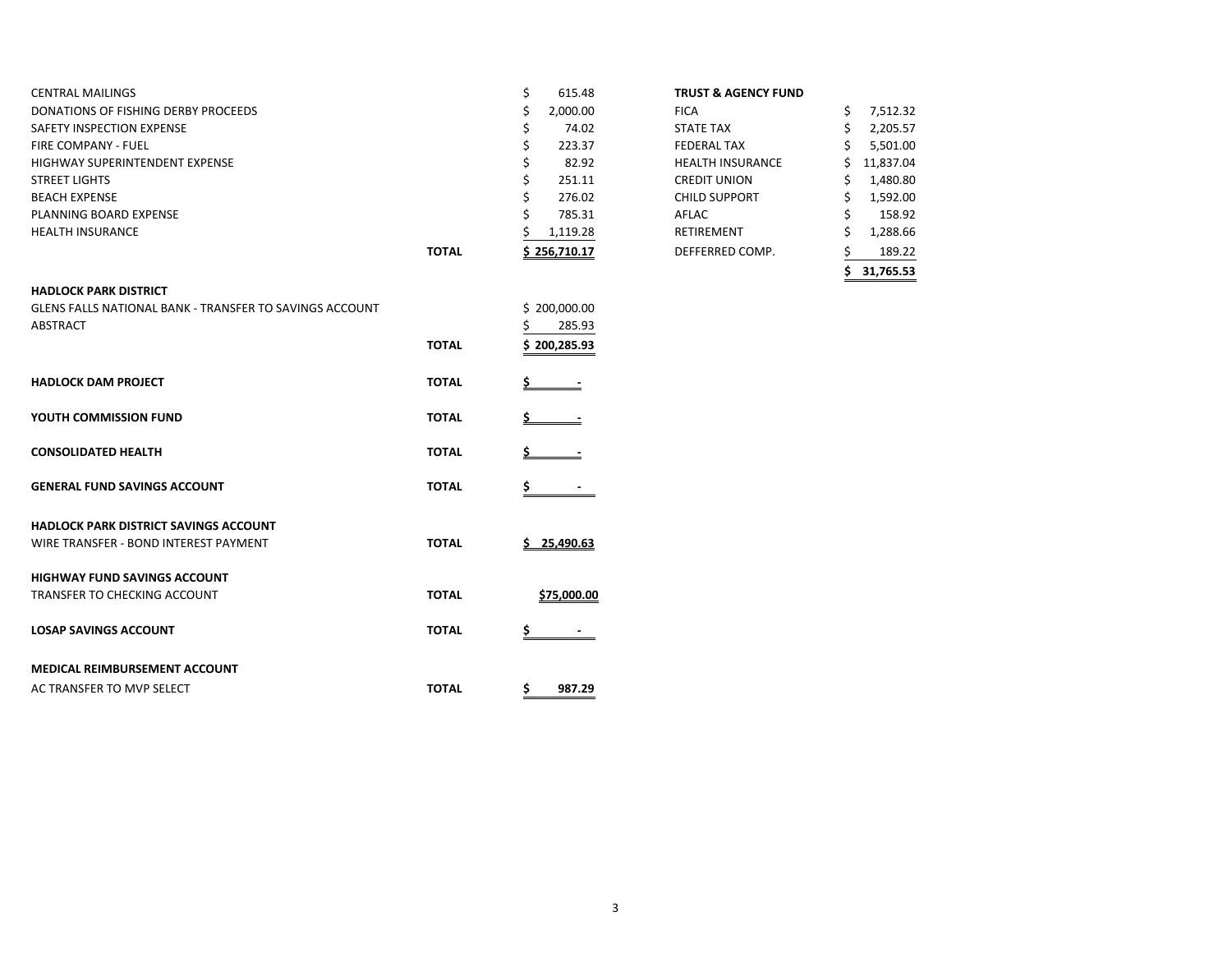| <b>CENTRAL MAILINGS</b>             |              | 615.48       | <b>TRUST &amp; AGENCY FUND</b> |           |
|-------------------------------------|--------------|--------------|--------------------------------|-----------|
| DONATIONS OF FISHING DERBY PROCEEDS |              | 2,000.00     | <b>FICA</b>                    | 7,512.32  |
| SAFETY INSPECTION EXPENSE           |              | 74.02        | <b>STATE TAX</b>               | 2.205.57  |
| FIRE COMPANY - FUEL                 |              | 223.37       | <b>FEDERAL TAX</b>             | 5,501.00  |
| HIGHWAY SUPERINTENDENT EXPENSE      |              | 82.92        | <b>HEALTH INSURANCE</b>        | 11,837.04 |
| <b>STREET LIGHTS</b>                |              | 251.11       | <b>CREDIT UNION</b>            | 1,480.80  |
| <b>BEACH EXPENSE</b>                |              | 276.02       | <b>CHILD SUPPORT</b>           | 1,592.00  |
| PLANNING BOARD EXPENSE              |              | 785.31       | AFLAC                          | 158.92    |
| <b>HEALTH INSURANCE</b>             |              | 1,119.28     | RETIREMENT                     | 1,288.66  |
|                                     | <b>TOTAL</b> | \$256,710.17 | DEFFERRED COMP.                | 189.22    |

| <b>TRUST &amp; AGENCY FUND</b> |    |           |
|--------------------------------|----|-----------|
| <b>FICA</b>                    | \$ | 7,512.32  |
| STATE TAX                      | Ś  | 2,205.57  |
| <b>FEDERAL TAX</b>             | \$ | 5,501.00  |
| <b>HEALTH INSURANCE</b>        | \$ | 11,837.04 |
| <b>CREDIT UNION</b>            | Ś  | 1,480.80  |
| <b>CHILD SUPPORT</b>           | \$ | 1,592.00  |
| <b>AFLAC</b>                   | \$ | 158.92    |
| <b>RETIREMENT</b>              | \$ | 1,288.66  |
| DEFFERRED COMP.                | \$ | 189.22    |
|                                |    | 31.765.53 |

| <b>HADLOCK PARK DISTRICT</b>                            |              |              |
|---------------------------------------------------------|--------------|--------------|
| GLENS FALLS NATIONAL BANK - TRANSFER TO SAVINGS ACCOUNT |              | \$200,000.00 |
| ABSTRACT                                                |              | 285.93<br>\$ |
|                                                         | <b>TOTAL</b> | \$200,285.93 |
| <b>HADLOCK DAM PROJECT</b>                              | <b>TOTAL</b> |              |
| YOUTH COMMISSION FUND                                   | <b>TOTAL</b> |              |
| <b>CONSOLIDATED HEALTH</b>                              | <b>TOTAL</b> |              |
| <b>GENERAL FUND SAVINGS ACCOUNT</b>                     | <b>TOTAL</b> | \$           |
| <b>HADLOCK PARK DISTRICT SAVINGS ACCOUNT</b>            |              |              |
| WIRE TRANSFER - BOND INTEREST PAYMENT                   | <b>TOTAL</b> | \$25,490.63  |
| <b>HIGHWAY FUND SAVINGS ACCOUNT</b>                     |              |              |
| TRANSFER TO CHECKING ACCOUNT                            | <b>TOTAL</b> | \$75,000.00  |
| <b>LOSAP SAVINGS ACCOUNT</b>                            | <b>TOTAL</b> | \$           |
| <b>MEDICAL REIMBURSEMENT ACCOUNT</b>                    |              |              |
| AC TRANSFER TO MVP SELECT                               | <b>TOTAL</b> | Ś<br>987.29  |
|                                                         |              |              |